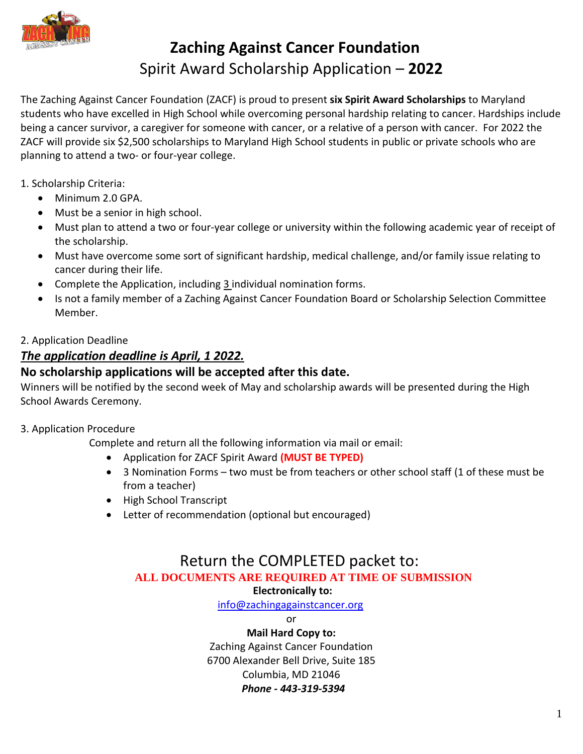

# **Zaching Against Cancer Foundation**  Spirit Award Scholarship Application – **2022**

The Zaching Against Cancer Foundation (ZACF) is proud to present **six Spirit Award Scholarships** to Maryland students who have excelled in High School while overcoming personal hardship relating to cancer. Hardships include being a cancer survivor, a caregiver for someone with cancer, or a relative of a person with cancer. For 2022 the ZACF will provide six \$2,500 scholarships to Maryland High School students in public or private schools who are planning to attend a two- or four-year college.

1. Scholarship Criteria:

- Minimum 2.0 GPA.
- Must be a senior in high school.
- Must plan to attend a two or four-year college or university within the following academic year of receipt of the scholarship.
- Must have overcome some sort of significant hardship, medical challenge, and/or family issue relating to cancer during their life.
- Complete the Application, including 3 individual nomination forms.
- Is not a family member of a Zaching Against Cancer Foundation Board or Scholarship Selection Committee Member.

### 2. Application Deadline

## *The application deadline is April, 1 2022.*

## **No scholarship applications will be accepted after this date.**

Winners will be notified by the second week of May and scholarship awards will be presented during the High School Awards Ceremony.

#### 3. Application Procedure

Complete and return all the following information via mail or email:

- Application for ZACF Spirit Award **(MUST BE TYPED)**
- 3 Nomination Forms two must be from teachers or other school staff (1 of these must be from a teacher)
- High School Transcript
- Letter of recommendation (optional but encouraged)

# Return the COMPLETED packet to: **ALL DOCUMENTS ARE REQUIRED AT TIME OF SUBMISSION**

#### **Electronically to:**

[info@zachingagainstcancer.org](mailto:info@zachingagainstcancer.org)

or

**Mail Hard Copy to:** Zaching Against Cancer Foundation 6700 Alexander Bell Drive, Suite 185 Columbia, MD 21046  *Phone - 443-319-5394*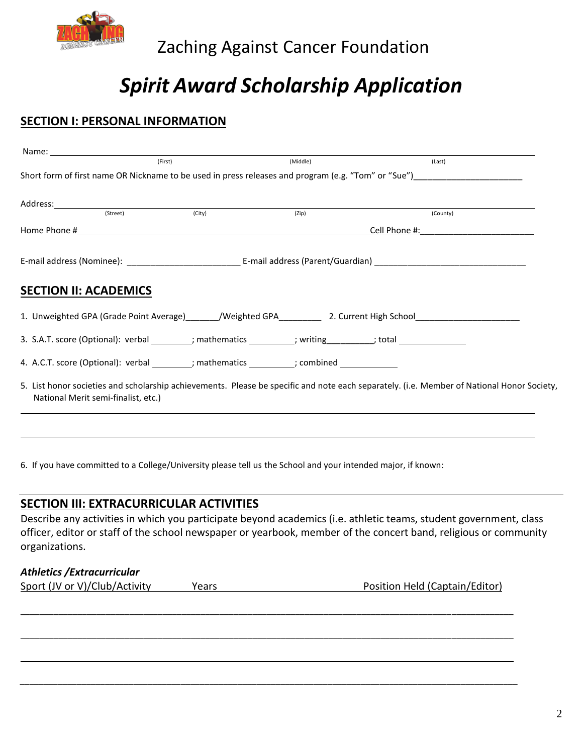

# *Spirit Award Scholarship Application*

# **SECTION I: PERSONAL INFORMATION**

|                                     | (First) | (Middle)                                                                                                                                   | (Last)                                                                                                                                                                                                                         |
|-------------------------------------|---------|--------------------------------------------------------------------------------------------------------------------------------------------|--------------------------------------------------------------------------------------------------------------------------------------------------------------------------------------------------------------------------------|
|                                     |         | Short form of first name OR Nickname to be used in press releases and program (e.g. "Tom" or "Sue") ___________________________________    |                                                                                                                                                                                                                                |
|                                     |         |                                                                                                                                            |                                                                                                                                                                                                                                |
| (Street)                            | (City)  | (Zip)                                                                                                                                      | (County)                                                                                                                                                                                                                       |
|                                     |         |                                                                                                                                            |                                                                                                                                                                                                                                |
|                                     |         |                                                                                                                                            | Cell Phone #: will be a series of the series of the series of the series of the series of the series of the series of the series of the series of the series of the series of the series of the series of the series of the se |
|                                     |         |                                                                                                                                            |                                                                                                                                                                                                                                |
| <b>SECTION II: ACADEMICS</b>        |         |                                                                                                                                            |                                                                                                                                                                                                                                |
|                                     |         | 1. Unweighted GPA (Grade Point Average) Meighted GPA 2. Current High School Communisties                                                   |                                                                                                                                                                                                                                |
|                                     |         | 3. S.A.T. score (Optional): verbal _________; mathematics __________; writing __________; total ______________                             |                                                                                                                                                                                                                                |
|                                     |         | 4. A.C.T. score (Optional): verbal _________; mathematics __________; combined ____________                                                |                                                                                                                                                                                                                                |
| National Merit semi-finalist, etc.) |         | 5. List honor societies and scholarship achievements. Please be specific and note each separately. (i.e. Member of National Honor Society, |                                                                                                                                                                                                                                |

6. If you have committed to a College/University please tell us the School and your intended major, if known:

#### **SECTION III: EXTRACURRICULAR ACTIVITIES**

Describe any activities in which you participate beyond academics (i.e. athletic teams, student government, class officer, editor or staff of the school newspaper or yearbook, member of the concert band, religious or community organizations.

\_\_\_\_\_\_\_\_\_\_\_\_\_\_\_\_\_\_\_\_\_\_\_\_\_\_\_\_\_\_\_\_\_\_\_\_\_\_\_\_\_\_\_\_\_\_\_\_\_\_\_\_\_\_\_\_\_\_\_\_\_\_\_\_\_\_\_\_\_\_\_\_\_\_\_\_\_\_\_\_\_\_\_\_\_\_\_\_\_\_\_\_\_\_\_\_\_\_\_\_\_\_\_\_

\_\_\_\_\_\_\_\_\_\_\_\_\_\_\_\_\_\_\_\_\_\_\_\_\_\_\_\_\_\_\_\_\_\_\_\_\_\_\_\_\_\_\_\_\_\_\_\_\_\_\_\_\_\_\_\_\_\_\_\_\_\_\_\_\_\_\_\_\_\_\_\_\_\_\_\_\_\_\_\_\_\_\_\_\_\_\_\_\_\_\_\_\_\_\_\_\_\_\_\_\_\_\_\_

\_\_\_\_\_\_\_\_\_\_\_\_\_\_\_\_\_\_\_\_\_\_\_\_\_\_\_\_\_\_\_\_\_\_\_\_\_\_\_\_\_\_\_\_\_\_\_\_\_\_\_\_\_\_\_\_\_\_\_\_\_\_\_\_\_\_\_\_\_\_\_\_\_\_\_\_\_\_\_\_\_\_\_\_\_\_\_\_\_\_\_\_\_\_\_\_\_\_\_\_\_\_\_\_

*\_\_\_\_\_\_\_\_\_\_\_\_\_\_\_\_\_\_\_\_\_\_\_\_\_\_\_\_\_\_\_\_\_\_\_\_\_\_\_\_\_\_\_\_\_\_\_\_\_\_\_\_\_\_\_\_\_\_\_\_\_\_\_\_\_\_\_\_\_\_\_\_\_\_\_\_\_\_\_\_\_\_\_\_\_\_\_\_\_\_\_\_\_\_\_\_\_\_\_\_\_\_\_\_\_*

#### *Athletics /Extracurricular*

Sport (JV or V)/Club/Activity Years Position Held (Captain/Editor)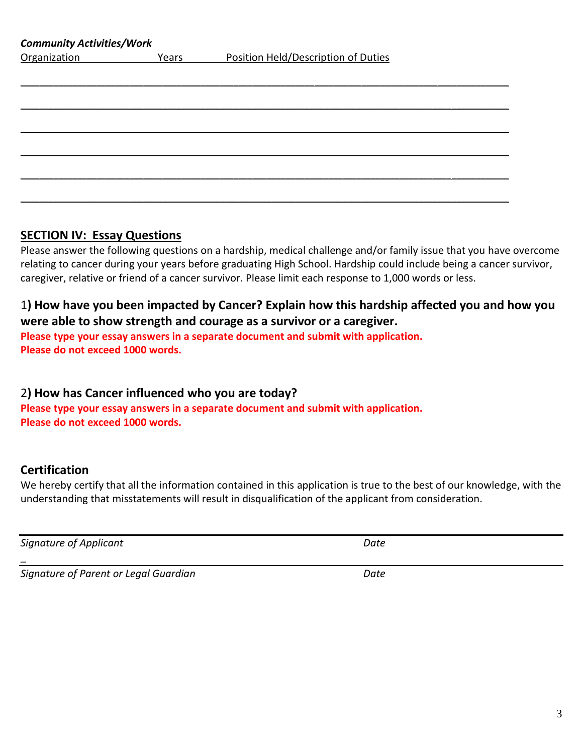3

| Organization | Years | Position Held/Description of Duties |  |
|--------------|-------|-------------------------------------|--|
|              |       |                                     |  |
|              |       |                                     |  |
|              |       |                                     |  |
|              |       |                                     |  |
|              |       |                                     |  |
|              |       |                                     |  |
|              |       |                                     |  |
|              |       |                                     |  |
|              |       |                                     |  |
|              |       |                                     |  |

# **SECTION IV: Essay Questions**

*Community Activities/Work*

Please answer the following questions on a hardship, medical challenge and/or family issue that you have overcome relating to cancer during your years before graduating High School. Hardship could include being a cancer survivor, caregiver, relative or friend of a cancer survivor. Please limit each response to 1,000 words or less.

# 1**) How have you been impacted by Cancer? Explain how this hardship affected you and how you were able to show strength and courage as a survivor or a caregiver.**

**Please type your essay answers in a separate document and submit with application. Please do not exceed 1000 words.**

# 2**) How has Cancer influenced who you are today?**

**Please type your essay answers in a separate document and submit with application. Please do not exceed 1000 words.**

# **Certification**

\_

We hereby certify that all the information contained in this application is true to the best of our knowledge, with the understanding that misstatements will result in disqualification of the applicant from consideration.

*Signature of Applicant Date*

*Signature of Parent or Legal Guardian Date*